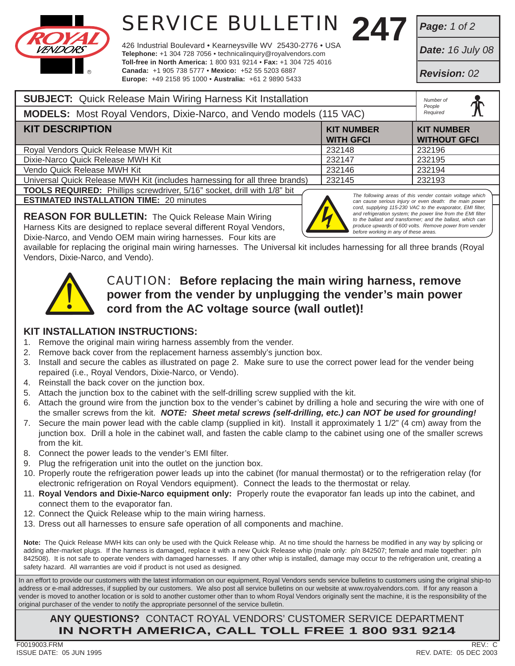

## SERVICE BULLETIN 247

426 Industrial Boulevard • Kearneysville WV 25430-2776 • USA **Telephone:** +1 304 728 7056 • technicalinquiry@royalvendors.com **Toll-free in North America:** 1 800 931 9214 • **Fax:** +1 304 725 4016 **Canada:** +1 905 738 5777 • **Mexico:** +52 55 5203 6887 **Europe:** +49 2158 95 1000 • **Australia:** +61 2 9890 5433

*Page: 1 of 2*

*Date: 16 July 08*

*Revision: 02*

| <b>SUBJECT:</b> Quick Release Main Wiring Harness Kit Installation             |                                       | Number of<br>People<br>Required                          |
|--------------------------------------------------------------------------------|---------------------------------------|----------------------------------------------------------|
| <b>MODELS:</b> Most Royal Vendors, Dixie-Narco, and Vendo models (115 VAC)     |                                       |                                                          |
| <b>KIT DESCRIPTION</b>                                                         | <b>KIT NUMBER</b><br><b>WITH GFCI</b> | <b>KIT NUMBER</b><br><b>WITHOUT GFCI</b>                 |
| Royal Vendors Quick Release MWH Kit                                            | 232148                                | 232196                                                   |
| Dixie-Narco Quick Release MWH Kit                                              | 232147                                | 232195                                                   |
| Vendo Quick Release MWH Kit                                                    | 232146                                | 232194                                                   |
| Universal Quick Release MWH Kit (includes harnessing for all three brands)     | 232145                                | 232193                                                   |
| <b>TOOLS REQUIRED:</b> Phillips screwdriver, 5/16" socket, drill with 1/8" bit |                                       | The following areas of this vender contain voltage which |
| <b>ESTIMATED INSTALLATION TIME: 20 minutes</b>                                 |                                       | can cause serious injury or even death: the main power   |

**REASON FOR BULLETIN:** The Quick Release Main Wiring Harness Kits are designed to replace several different Royal Vendors, Dixie-Narco, and Vendo OEM main wiring harnesses. Four kits are



*can cause serious injury or even death: the main power cord, supplying 115-230 VAC to the evaporator, EMI filter, and refrigeration system; the power line from the EMI filter to the ballast and transformer; and the ballast, which can produce upwards of 600 volts. Remove power from vender before working in any of these areas.*

available for replacing the original main wiring harnesses. The Universal kit includes harnessing for all three brands (Royal Vendors, Dixie-Narco, and Vendo).



CAUTION: **Before replacing the main wiring harness, remove power from the vender by unplugging the vender's main power cord from the AC voltage source (wall outlet)!**

## **KIT INSTALLATION INSTRUCTIONS:**

- 1. Remove the original main wiring harness assembly from the vender.
- 2. Remove back cover from the replacement harness assembly's junction box.
- 3. Install and secure the cables as illustrated on page 2. Make sure to use the correct power lead for the vender being repaired (i.e., Royal Vendors, Dixie-Narco, or Vendo).
- 4. Reinstall the back cover on the junction box.
- 5. Attach the junction box to the cabinet with the self-drilling screw supplied with the kit.
- 6. Attach the ground wire from the junction box to the vender's cabinet by drilling a hole and securing the wire with one of the smaller screws from the kit. *NOTE: Sheet metal screws (self-drilling, etc.) can NOT be used for grounding!*
- 7. Secure the main power lead with the cable clamp (supplied in kit). Install it approximately 1 1/2" (4 cm) away from the junction box. Drill a hole in the cabinet wall, and fasten the cable clamp to the cabinet using one of the smaller screws from the kit.
- 8. Connect the power leads to the vender's EMI filter.
- 9. Plug the refrigeration unit into the outlet on the junction box.
- 10. Properly route the refrigeration power leads up into the cabinet (for manual thermostat) or to the refrigeration relay (for electronic refrigeration on Royal Vendors equipment). Connect the leads to the thermostat or relay.
- 11. **Royal Vendors and Dixie-Narco equipment only:** Properly route the evaporator fan leads up into the cabinet, and connect them to the evaporator fan.
- 12. Connect the Quick Release whip to the main wiring harness.
- 13. Dress out all harnesses to ensure safe operation of all components and machine.

**Note:** The Quick Release MWH kits can only be used with the Quick Release whip. At no time should the harness be modified in any way by splicing or adding after-market plugs. If the harness is damaged, replace it with a new Quick Release whip (male only: p/n 842507; female and male together: p/n 842508). It is not safe to operate venders with damaged harnesses. If any other whip is installed, damage may occur to the refrigeration unit, creating a safety hazard. All warranties are void if product is not used as designed.

In an effort to provide our customers with the latest information on our equipment, Royal Vendors sends service bulletins to customers using the original ship-to address or e-mail addresses, if supplied by our customers. We also post all service bulletins on our website at www.royalvendors.com. If for any reason a vender is moved to another location or is sold to another customer other than to whom Royal Vendors originally sent the machine, it is the responsibility of the original purchaser of the vender to notify the appropriate personnel of the service bulletin.

**ANY QUESTIONS?** CONTACT ROYAL VENDORS' CUSTOMER SERVICE DEPARTMENT **IN NORTH AMERICA, CALL TOLL FREE 1 800 931 9214**